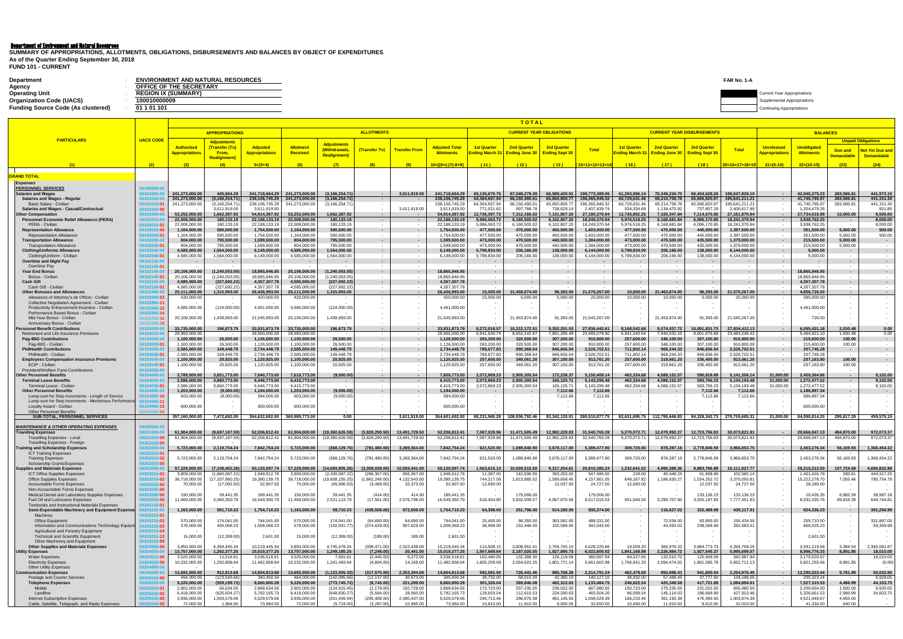## Department of Environment and Natural Resources

**FUND 101 - CURRENT**

| <b>Department</b>                         | <b>ENVIRONMENT AND NATURAL RESOURCES</b> | FAR No. 1-A |                                    |
|-------------------------------------------|------------------------------------------|-------------|------------------------------------|
| Agency                                    | OFFICE OF THE SECRETARY                  |             |                                    |
| <b>Operating Unit</b>                     | <b>REGION IX (SUMMARY)</b>               |             | <b>Current Year Appropriations</b> |
| <b>Organization Code (UACS)</b>           | 100010000009                             |             | upplemental Appropriations         |
| <b>Funding Source Code (As clustered)</b> | 01 1 01 101                              |             | ng Appropriations                  |

**SUMMARY OF APPROPRIATIONS, ALLOTMENTS, OBLIGATIONS, DISBURSEMENTS AND BALANCES BY OBJECT OF EXPENDITURES As of the Quarter Ending September 30, 2018**

|                                                                                                   |                                          |                                            |                                             |                                          |                                     |                                          | <b>ALLOTMENTS</b>                  |                                |                                            |                                      | <u>TOTAL</u><br><b>CURRENT YEAR OBLIGATIONS</b> |                                             |                                 |                                                                                                                                    |                                             | <b>CURRENT YEAR DISBURSEMENTS</b>   |                                |                                           |                                  |                           |                                        |
|---------------------------------------------------------------------------------------------------|------------------------------------------|--------------------------------------------|---------------------------------------------|------------------------------------------|-------------------------------------|------------------------------------------|------------------------------------|--------------------------------|--------------------------------------------|--------------------------------------|-------------------------------------------------|---------------------------------------------|---------------------------------|------------------------------------------------------------------------------------------------------------------------------------|---------------------------------------------|-------------------------------------|--------------------------------|-------------------------------------------|----------------------------------|---------------------------|----------------------------------------|
| <b>PARTICULARS</b>                                                                                | <b>UACS CODE</b>                         |                                            | <b>APPROPRIATIONS</b><br><b>Adjustments</b> |                                          |                                     |                                          |                                    |                                |                                            |                                      |                                                 |                                             |                                 |                                                                                                                                    |                                             |                                     |                                |                                           | <b>BALANCES</b>                  | <b>Unpaid Obligations</b> |                                        |
|                                                                                                   |                                          | <b>Authorized</b><br><b>Appropriations</b> | (Transfer (To)<br>From,                     | <b>Adjusted</b><br><b>Appropriations</b> | <b>Allotment</b><br><b>Received</b> | <b>Adjustments</b><br><b>Withdrawals</b> | (Transfer To)                      | <b>Transfer From</b>           | <b>Adjusted Total</b><br><b>Allotments</b> | <b>1st Quarter</b><br>nding March 3: | <b>2nd Quarter</b><br><b>Ending June 30</b>     | <b>3rd Quarter</b><br><b>Ending Sept 30</b> | <b>Total</b>                    | <b>1st Quarter</b><br><mark>nding March 31</mark>                                                                                  | <b>2nd Quarter</b><br><b>Ending June 30</b> | <b>3rd Quarter</b><br>Ending Sept 3 | Total                          | <b>Unreleased</b><br><b>ppropriations</b> | Unobligated<br><b>Allotments</b> | Due and                   | lot Yet Due and                        |
|                                                                                                   |                                          |                                            | <b>Realignment)</b>                         |                                          |                                     | Realignment)                             |                                    |                                |                                            |                                      |                                                 |                                             |                                 |                                                                                                                                    |                                             |                                     |                                |                                           |                                  | <mark>Demandabl</mark>    | <b>Demandable</b>                      |
|                                                                                                   | (2)                                      |                                            | (4)                                         | $5=(3+4)$                                | (6)                                 | (7)                                      | (8)                                | (9)                            | $10=[(6+(-)7)-8+9]$                        | (11)                                 | (12)                                            | (13)                                        | 15=11+12+13+14                  | (16)                                                                                                                               | (17)                                        | (18)                                | $20=16+17+18+19$               | $21=(5-10)$                               | $22=(10-15)$                     | (23)                      | (24)                                   |
| <b>GRAND TOTAL</b><br><b>Expenses</b>                                                             |                                          |                                            |                                             |                                          |                                     |                                          |                                    |                                |                                            |                                      |                                                 |                                             |                                 |                                                                                                                                    |                                             |                                     |                                |                                           |                                  |                           |                                        |
| <b>PERSONNEL SERVICES</b>                                                                         | 50100000-0                               | 241.273.000.00                             | 445.664.29                                  |                                          | 241.718.664.29 241.273.000.00       | (3, 166, 254.71)                         |                                    |                                | 241.718.664.29                             | 65.135.679.76                        | 67,048,279.39                                   | 66.589.429.91                               | 198.773.389.06                  | 61.263.966.14                                                                                                                      | 70.349.234.70                               | 66.434.628.26                       | 198.047.829.10                 |                                           | 42,945,275.23                    | 283.586.81                | 441,973.15                             |
| Salaries and Wages<br><b>Salaries and Wages - Regular</b>                                         | 50101010·                                | 241,273,000.00                             | (3, 166, 254.71)                            |                                          | 238,106,745.29 241,273,000.00       | (3, 166, 254.71)                         | $\sim$<br>$\sim$ $-$               | 3,611,919.00                   | 238,106,745.29                             | 64,364,657.94                        | 66,150,490.61                                   | 65,850,800.77                               | 196,365,949.32                  | 60,729,631.46                                                                                                                      | 69,214,758.78                               | 65,696,820.97                       | 195,641,211.21                 | $\sim$                                    | 41,740,795.97                    | 283,586.81                | 441,151.30                             |
| Basic Salary - Civilian<br><b>Salaries and Wages - Casual/Contractual</b>                         | 50101010- <b>01</b><br>0101020-01        | 241,273,000.00                             | (3, 166, 254.7)<br>3,611,919.00             | 238,106,745.29<br>3,611,919.00           | 241,273,000.00                      | (3, 166, 254.71)                         |                                    | 3,611,919.00                   | 238,106,745.29<br>3,611,919.00             | 64,364,657.94<br>771,021.82          | 66,150,490.61<br>897,788.78                     | 65,850,800.77<br>738,629.14                 | 196,365,949.32<br>2,407,439.74  | 60,729,631.46<br>534,334.68                                                                                                        | 69,214,758.78<br>1,134,475.92               | 65,696,820.97<br>737,807.29         | 195,641,211.2<br>2,406,617.89  |                                           | 41,740,795.97<br>1,204,479.26    | 283,586.8                 | 441, 151.30<br>821.85                  |
| <b>Other Compensation</b><br>Personnel Economic Relief Allowance (PERA)                           | 50102010                                 | 53,252,000.00<br>22,008,000.00             | 1,662,387.92<br>180,133.19                  | 54.914.387.92<br>22,188,133.19           | 53,252,000.00<br>22,008,000.00      | 1.662.387.92<br>180,133.19               | $\sim$<br>$\sim$ $-$               | $\sim$ $-$                     | 54.914.387.92<br>22,188,133.19             | 12,736,397.72<br>5,986,063.72        | 7.312.166.02<br>6,160,500.02                    | 7.131.807.20<br>6,102,807.20                | 27,180,370.94<br>18,249,370.94  | 12,726,852.25<br>5,976,518.25                                                                                                      | 7.320.347.84<br>6,168,681.84                | 7.114.670.85<br>6,096,170.85        | 27,161,870.94<br>18,241,370.94 | $\sim$<br>$\sim$                          | 27,734,016.98<br>3,938,762.25    | 10,000.00                 | 8.500.00<br>8,000.00                   |
| PERA - Civilian                                                                                   | 50102010-0 <sup>.</sup>                  | 22.008.000.0                               | 180,133.19                                  | 22,188,133.19                            | 22,008,000.00                       | 180,133.19                               |                                    | $\sim$                         | 22,188,133.1                               | 5,986,063.7                          | 6,160,500.02                                    | 6,102,807.20                                | 18,249,370.94                   | 5,976,518.25                                                                                                                       | 6,168,681.84                                | 6,096,170.85                        | 18,241,370.94                  | $\sim$                                    | 3,938,762.25                     |                           | 8.000.00                               |
| <b>Representation Allowance</b><br><b>Representation Allowance</b>                                | 50102020- <mark>00</mark><br>60102020-01 | 1,164,000.00<br>1,164,000.00               | 590,500.00<br>590,500.00                    | 1,754,500.00<br>1,754,500.00             | 1,164,000.00<br>1,164,000.00        | 590,500.00<br>590,500.00                 | $\sim$<br>$\sim$                   | $\sim$<br>$\sim$               | 1,754,500.00<br>1,754,500.00               | 477,500.00<br>477,500.00             | 475,000.00<br>475,000.00                        | 450,500.00<br>450,500.00                    | 1,403,000.00<br>1,403,000.00    | 477,500.00<br>477,500.00                                                                                                           | 475,000.00<br>475,000.00                    | 445,000.00<br>445,000.00            | 1,397,500.00<br>1,397,500.00   | $\sim$<br>$\sim$                          | 351,500.00<br>351,500.00         | 5,000.00<br>5,000.00      | 500.00<br>500.00                       |
| <b>Transportation Allowance</b><br><b>Transportation Allowance</b>                                | 50102030-01                              | 804,000.00<br>804,000.0                    | 795,500.00<br>795,500.00                    | 1,599,500.00<br>1,599,500.00             | 804,000.00<br>804,000.00            | 795,500.00<br>795,500.00                 | $\sim$                             | $\sim$ $-$                     | 1,599,500.00<br>1,599,500.00               | 473,000.00<br>473,000.00             | 470,500.00<br>470,500.00                        | 440,500.00<br>440,500.00                    | 1,384,000.00<br>1,384,000.00    | 473,000.00<br>473,000.00                                                                                                           | 470,500.00<br>470,500.00                    | 435,500.00<br>435,500.00            | 1,379,000.00<br>1,379,000.00   | $\sim$<br>$\sim$                          | 215,500.00<br>215,500.00         | 5,000.00<br>5,000.00      | $\sim 100$<br><b>Contract Contract</b> |
| <b>Clothing/Uniforms Allowance</b><br>Clothing/Uniform - Civilian                                 | 50102040-01                              | 4,585,000.00<br>4,585,000.00               | 1,564,000.00<br>1,564,000.00                | 6,149,000.00<br>6,149,000.00             | 4,585,000.00<br>4,585,000.00        | 1,564,000.00<br>1,564,000.00             | $\sim$                             | $\sim$<br>$\sim$               | 6,149,000.00<br>6,149,000.00               | 5,799,834.00<br>5,799,834.00         | 206,166.00<br>206,166.00                        | 138,000.00<br>138,000.00                    | 6,144,000.00<br>6,144,000.00    | 5,799,834.00<br>5,799,834.00                                                                                                       | 206,166.00<br>206,166.00                    | 138,000.00<br>138,000.00            | 6,144,000.00<br>6,144,000.00   | $\sim$                                    | 5,000.00<br>5,000.00             |                           | $\sim$<br><b>Contract</b>              |
| <b>Overtime and Night Pay</b>                                                                     | 50102130-                                |                                            | $\sim$                                      | $\sim$                                   | $\sim$                              | $\overline{\phantom{a}}$                 | $\sim$                             | $\sim$                         |                                            |                                      | $\sim$                                          |                                             | $\sim$                          | $\sim$                                                                                                                             | $\sim$                                      | $\sim$ $-$                          | $\sim$                         | $\sim$                                    | $\sim$                           |                           | $\sim$ 100 $\mu$                       |
| Overtime Pay<br><b>Year End Bonus</b>                                                             | 50102130- <b>01</b><br>50102140-0        | 20,106,000.00                              | (1, 240, 053.05)                            | 18,865,946.95                            | 20,106,000.00                       | (1, 240, 053.05)                         | $\sim$                             | $\sim$                         | 18,865,946.95                              |                                      |                                                 |                                             | $\sim$                          |                                                                                                                                    | $\sim$<br>$\sim$                            | $\sim$                              | $\sim$                         |                                           | 18,865,946.95                    |                           | $\sim$<br>$\sim$                       |
| Bonus - Civilian<br><b>Cash Gift</b>                                                              | 50102140- <b>01</b><br>0102150           | 20,106,000.00<br>4,585,000.00              | (1, 240, 053.05)<br>(227, 692.22)           | 18.865.946.95<br>4,357,307.78            | 20.106.000.00<br>4,585,000.00       | (1, 240, 053.05)<br>(227, 692.22)        | $\sim$<br>$\sim$                   | $\sim$                         | 18,865,946.95<br>4,357,307.78              |                                      | $\blacksquare$                                  |                                             | $\sim$                          |                                                                                                                                    | $\sim$                                      | ÷                                   | $\sim$                         | $\sim$                                    | 18.865.946.95<br>4,357,307.78    |                           | $\sim$                                 |
| Cash Gift - Civilian                                                                              | 50102150- <b>01</b>                      | 4,585,000.0                                | (227,692.22                                 | 4,357,307.78                             | 4.585.000.00                        | (227,692.22                              | $\overline{\phantom{a}}$<br>$\sim$ | $\sim$<br>$\sim$ $-$           | 4,357,307.78                               |                                      |                                                 |                                             |                                 |                                                                                                                                    |                                             |                                     |                                |                                           | 4,357,307.78                     |                           |                                        |
| <b>Other Bonuses and Allowances</b><br>Allowance of Attorney's de Officio - Civilian              | 0102990-03                               | 25,111,000.00<br>420,000.00                | 1,315,993.00                                | 26,426,993.00<br>420,000.00              | 25,111,000.00<br>420,000.00         | 1,315,993.00                             |                                    | $\sim$ $-$                     | 26,426,993.00<br>420,000.00                | 15,000.00<br>15,000.00               | 21,458,874.00<br>5,000.00                       | 96,393.00<br>5,000.00                       | 1,570,267.00<br>25,000.00       | 10,000.00<br>10,000.00                                                                                                             | 1,463,874.00<br>10,000.00                   | 96,393.00<br>5,000.00               | 21,570,267.00<br>25,000.00     | $\sim$                                    | 4,856,726.00<br>395,000.00       |                           |                                        |
| Collective Negotiation Agreement - Civilian<br>Productivity Enhancement Incentive - Civilian      | 50102990- <mark>1</mark><br>50102990-12  | 4,585,000.00                               | (124,000.00)                                | 4,461,000.00                             | 4,585,000.00                        | (124,000.00)                             |                                    | $\sim$                         | 4,461,000.00                               |                                      |                                                 |                                             |                                 |                                                                                                                                    |                                             | $\sim$                              |                                |                                           | 4,461,000.00                     |                           |                                        |
| Performance Based Bonus - Civilian<br>Mid-Year Bonus - Civilian                                   | 50102990-14<br>50102990-36               | 20,106,000.00                              | 1,439,993.00                                | 21,545,993.00                            | 20,106,000.00                       | 1,439,993.00                             |                                    | $\sim$<br>$\sim$               | 21,545,993.00                              |                                      | 21,453,874.00                                   | 91,393.00                                   | 21,545,267.00                   |                                                                                                                                    | 21,453,874.00                               | 91,393.00                           | 21,545,267.00                  |                                           | 726.00                           |                           |                                        |
| Anniversary Bonus - Civilian                                                                      | 0102990-38                               |                                            |                                             |                                          |                                     |                                          |                                    |                                |                                            |                                      |                                                 |                                             |                                 |                                                                                                                                    |                                             |                                     |                                |                                           |                                  |                           |                                        |
| Personnel Benefit Contributions<br>Retirement and Life Insurance Premiums                         | 010300                                   | 33,735,000.00<br>28.950.000.00             | 196,873.79                                  | 33,931,873.79<br>28.950.000.00           | 33,735,000.00<br>28.950.000.00      | 196,873.79                               | $\sim$<br>$\sim$                   | $\sim$ $-$<br>$\sim$ 100 $\pm$ | 33,931,873.79<br>28.950.000.00             | 8,272,018.57<br>6.941.540.74         | 10,212,172.51<br>8,652,242.67                   | 9,352,251.53<br>7.891.295.49                | 27,836,442.61<br>23.485.078.90  | 8,168,542.68<br>6.941.540.54                                                                                                       | 9,574,037.72<br>7.940.032.19                | 10,091,831.73<br>8.601.675.69       | 27,834,412.13<br>23,483,248.42 | $\sim$<br>$\sim$                          | 6,095,431.18<br>5.464.921.10     | 2.030.48<br>1.830.48      | 0.00<br>0.00                           |
| <b>Pag-IBIG Contributions</b><br>Pag-IBIG - Civilian                                              | 0103020-0                                | 1,100,000.00<br>1,100,000.0                | 26,500.00<br>26,500.00                      | 1,126,500.00<br>1.126.500.00             | 1,100,000.00<br>1,100,000.00        | 26,500.00<br>26,500.00                   | $\sim$<br>$\sim$                   | $\sim$<br>$\sim$               | 1,126,500.00<br>1,126,500.00               | 283,200.00<br>283,200.00             | 320,500.00<br>320.500.00                        | 307,200.00<br>307,200.00                    | 910,900.00<br>910,900.00        | 257,600.00<br>257,600.00                                                                                                           | 346,100.00<br>346,100.00                    | 307,100.00<br>307.100.00            | 910,800.00<br>910,800.00       | $\sim$<br>$\sim$                          | 215,600.00<br>215,600.00         | 100.00<br>100.00          | <b>Contract Contract</b>               |
| <b>PhilHealth Contributions</b><br>PhilHealth - Civilian                                          | 0103030                                  | 2,585,000.00<br>2.585.000.00               | 149,448.79<br>149.448.79                    | 2,734,448.79<br>2.734.448.79             | 2,585,000.00<br>2.585.000.00        | 149,448.79<br>149.448.79                 | $\sim$<br>$\sim$                   | $\sim$<br>$\sim$               | 2,734,448.79<br>2,734,448.79               | 789,677.83<br>789.677.83             | 890,368.64<br>890.368.64                        | 846,656.04<br>846.656.04                    | 2,526,702.51<br>2,526,702.51    | 711,802.14<br>711.802.14                                                                                                           | 968,244.33<br>968,244.33                    | 846,656.04<br>846.656.04            | 2,526,702.51<br>2,526,702.5    | $\sim$<br>$\sim$                          | 207,746.28<br>207,746.28         |                           | <b>Service</b>                         |
| <b>Employees Compensation Insurance Premiums</b>                                                  |                                          | 1,100,000.00                               | 20,925.00                                   | 1,120,925.00                             | 1,100,000.00                        | 20,925.00                                | $\sim$                             | $\sim$                         | 1,120,925.00                               | 257,600.00                           | 349,061.20                                      | 307,100.00                                  | 913,761.20                      | 257,600.00                                                                                                                         | 319,661.20                                  | 336,400.00                          | 913,661.20                     | $\sim$                                    | 207,163.80                       | 100.00                    |                                        |
| ECIP - Civilian<br>Provident/Welfare Fund Contributions                                           | 50103040-01                              | 1,100,000.00                               | 20,925.00                                   | 1,120,925.00                             | 1,100,000.00                        | 20,925.00                                | $\overline{\phantom{a}}$           | $\sim$<br>$\sim$               | 1,120,925.00                               | 257,600.00                           | 349,061.20                                      | 307,100.00                                  | 913,761.20                      | 257,600.00                                                                                                                         | 319,661.20                                  | 336,400.00                          | 913,661.20                     | $\sim$                                    | 207,163.80                       | 100.00                    |                                        |
| <b>Other Personnel Benefits</b><br><b>Terminal Leave Benefits</b>                                 | 0104030                                  | 3,789,000.00<br>2,586,000.00               | 3,851,773.00<br>3,860,773.00                | 7,640,773.00<br>6,446,773.00             | 7,618,773.00<br>6,415,773.00        | (9,000.00)<br>$\sim$ $-$                 | $\sim 10^{-1}$<br>$\sim$           | $\sim$ 10 $\sim$<br>$\sim$     | 7,609,773.00<br>6,415,773.00               | 2,072,869.23<br>2,072,869.23         | 2,905,300.54<br>2,905,300.54                    | 172,238.37<br>165,125.71                    | 5,150,408.14<br>5, 143, 295. 48 | 462.334.68<br>462.334.68                                                                                                           | 4,088,152.57<br>4,088,152.57                | 590.818.89<br>583,706.23            | 5,141,306.14<br>5,134,193.48   | 31.000.00<br>31,000.00                    | 2.459.364.86<br>1,272,477.52     | $\sim$                    | 9,102.00<br>9,102.00                   |
| Terminal Leave - Civiliar<br><b>Other Personnel Benefits</b>                                      | 50104030-0 <sup>.</sup>                  | 2,586,000.00<br>1,203,000.00               | 3,860,773.00<br>(9,000.00)                  | 6,446,773.00<br>1,194,000.00             | 6,415,773.00<br>1,203,000.00        | (9,000.00)                               | $\sim$<br>$\sim$                   | $\sim$<br>$\sim$               | 6,415,773.00<br>1,194,000.00               | 2,072,869.23                         | 2,905,300.54                                    | 165,125.7<br>7,112.66                       | 5,143,295.48<br>7,112.66        | 462,334.68                                                                                                                         | 4,088,152.57                                | 583,706.23<br>7,112.66              | 5,134,193.48<br>7,112.66       | 31,000.00<br>$\sim$                       | 1,272,477.52<br>1,186,887.34     |                           | 9,102.00                               |
| Lump-sum for Step Increments - Length of Service                                                  | 0104990-10                               | 603,000.00                                 | (9,000.00)                                  | 594,000.00                               | 603,000.00                          | (9,000.00)                               |                                    |                                | 594,000.00                                 |                                      |                                                 | 7,112.6                                     | 7,112.66                        |                                                                                                                                    |                                             | 7,112.66                            | 7,112.66                       |                                           | 586,887.34                       |                           |                                        |
| Lump-sum for Step Increments - Meritorious Performanc<br>Loyalty Award - Civilian                 | $0104990-1$<br>0104990-15                | 600,000.00                                 |                                             | 600,000.00                               | 600,000.00                          | $\sim$                                   |                                    |                                | 600,000.00                                 |                                      |                                                 |                                             |                                 |                                                                                                                                    |                                             |                                     |                                |                                           | 600,000.00                       |                           |                                        |
| <b>Other Personnel Benefits</b><br>SUB-TOTAL, PERSONNEL SERVICES                                  | 0104990- <b>90</b>                       |                                            | 357,160,000.00 7,472,692.00                 |                                          | 364,632,692.00 360,989,773.00       | 0.00                                     | $\sim$                             | 3,611,919.00                   |                                            |                                      |                                                 |                                             |                                 | 364.601.692.00 88.231.965.28 108.936.792.46 83.342.120.01 280.510.877.75 82.631.695.75 112.795.646.83 84.328.342.73 279.755.685.31 |                                             |                                     |                                | 31,000.00                                 | 84,090,814.25                    | 295,617.29                | 459.575.15                             |
| <u>MAINTENANCE &amp; OTHER OPERATING EXPENSES</u>                                                 |                                          |                                            |                                             |                                          |                                     |                                          |                                    |                                |                                            |                                      |                                                 |                                             |                                 |                                                                                                                                    |                                             |                                     |                                |                                           |                                  |                           |                                        |
| <b>Traveling Expenses</b><br>Travelling Expenses - Local                                          | 50201010- <b>00</b>                      | 61,904,000.00<br>61,904,000.00             | (9,697,187.59)<br>(9,697,187.59)            | 52.206.812.41<br>52,206,812.41           | 61,904,000.00<br>61,904,000.00      | (19,360,626.59<br>(19,360,626.59         | (3,828,290.50)<br>(3,828,290.50)   | 13,491,729.50<br>13,491,729.50 | 52,206,812.41<br>52,206,812.41             | 7.087.029.9<br>7,087,029.96          | 11.471.505.49<br>11,471,505.49                  | 12,982,229.83<br>12,982,229.83              | 31,540,765.28<br>31,540,765.28  | 5,270,072.71<br>5,270,072.71                                                                                                       | 12,079,992.27<br>12,079,992.27              | 12,723,756.93<br>12,723,756.93      | 30,073,821.91<br>30,073,821.91 | $\sim$<br>$\sim$                          | 20,666,047.13<br>20,666,047.13   | 494,870.00<br>494,870.00  | 972,073.37<br>972,073.37               |
| Travelling Expenses - Foreign                                                                     |                                          |                                            |                                             |                                          |                                     |                                          |                                    |                                |                                            |                                      |                                                 |                                             |                                 |                                                                                                                                    |                                             |                                     |                                |                                           |                                  |                           |                                        |
| <b>Training and Scholarship Expenses</b><br><b>ICT Training Expenses</b>                          |                                          | 5,723,000.00                               | 2,119,754.24                                | 7,842,754.24                             | 5,723,000.00                        | (368, 129.76)                            | (781, 480.00)                      | 3,269,364.00                   | 7,842,754.24                               | 621,520.00                           | 1,089,840.90                                    | 3,678,117.00                                | 5,389,477.90                    | 309,720.00                                                                                                                         | 878,287.16                                  | 2,778,846.59                        | 3,966,853.75                   | $\sim$ $-$<br>$\sim$                      | 2,453,276.34                     | 56,169.93                 | 1,366,454.22                           |
| <b>Training Expenses</b><br>Scholarship Grants/Expenses                                           | 0-02                                     | 5,723,000.00                               | 2,119,754.24                                | 7,842,754.24                             | 5,723,000.00                        | (368, 129.76)                            | (781,480.00                        | 3,269,364.00                   | 7,842,754.24                               | 621,520.00                           | 1,089,840.90                                    | 3,678,117.00                                | 5,389,477.90                    | 309,720.00                                                                                                                         | 878,287.16                                  | 2,778,846.59                        | 3,966,853.75                   |                                           | 2,453,276.34                     | 56,169.93                 | 1,366,454.22                           |
| <b>Supplies and Materials Expenses</b><br><b>ICT Office Supplies Expenses</b>                     | 0203010-01                               | 57,229,000.00<br>3,809,000.00              | (7, 108, 402.26)<br>(1,860,087.22)          | 50,120,597.74<br>1,948,912.78            | 57,229,000.00<br>3,809,000.00       | (14,693,805.26)<br>(2,430,087.22)        | (3,008,038.00)<br>(286,367.00      | 10,593,441.00<br>856,367.00    | 50,120,597.74<br>1,948,912.78              | 1,563,615.13<br>11.397.00            | 10,029,515.50<br>142,836.00                     | 9,317,254.61<br>393,253.00                  | 20,910,385.24<br>547,486.00     | 1,232,641.52<br>228.00                                                                                                             | 4,995,389.36<br>40,448.25                   | 9,883,796.89<br>61,908.89           | 16,111,827.77<br>102,585.14    | $\sim$<br>$\sim$                          | 29,210,212.50<br>1,401,426.78    | 107,724.59<br>583.61      | 4,690,832.88<br>444,317.25             |
| Office Supplies Expenses                                                                          | $0 - 02$                                 | 36,718,000.00                              | (17, 337, 860.25)                           | 19,380,139.75                            | 36,718,000.00                       | (19,608,155.25)                          | (1,862,248.00                      | 4,132,543.00                   | 19,380,139.75                              | 744,217.08                           | 1,813,985.52                                    | 1,599,658.45                                | 4,157,861.05                    | 649,167.82                                                                                                                         | 1,186,630.27                                | 1,534,252.72                        | 3,370,050.81                   |                                           | 15,222,278.70                    | 7,055.46                  | 780,754.78                             |
| Accountable Forms Expenses<br>Non-Accountable Forms Expenses                                      |                                          | 70,000.00                                  | (17,092.50)                                 | 52,907.50                                | 70,000.00                           | (45,996.50)                              | (3,469.00)                         | 32,373.00                      | 52,907.50                                  | 12,690.00                            |                                                 | 12,037.50                                   | 24,727.50                       | 12,690.00                                                                                                                          | $\sim$<br>$\sim$                            | 12,037.50                           | 24,727.50                      |                                           | 28,180.00                        |                           |                                        |
| Medical Dental and Laboratory Supplies Expenses<br>Fuel Oil and Lubricants Expenses               | 203080-00                                | 150,000.00<br>11,469,000.00                | 39,441.35<br>5,080,350.79                   | 189,441.35<br>16,549,350.79              | 150,000.00<br>11,469,000.00         | 39,441.35<br>2,521,113.79                | (414.00)<br>(17,561.00)            | 414.00<br>2,576,798.00         | 189,441.35<br>16,549,350.79                | 616,404.90                           | 179,006.00<br>3,832,939.57                      | 4,067,670.56                                | 179,006.00<br>8,517,015.03      | 551,546.50                                                                                                                         | 3,290,707.50                                | 133,136.23<br>3,935,197.83          | 133,136.23<br>7,777,451.83     |                                           | 10,435.35<br>8,032,335.76        | 6,882.59<br>89,818.39     | 38.987.18<br>649,744.81                |
| Textbooks and Instructional Materials Expenses<br>Semi-Expendable Machinery and Equipment Expense | 0203110-01<br>)3210-0                    | 1,163,000.00                               | 591,710.23                                  | 1,754,710.23                             | 1,163,000.00                        | 58,710.23                                | (439, 508.00)                      | 972,508.00                     | 1,754,710.23                               | 64,398.00                            | 251,796.00                                      | 514,180.00                                  | 830,374.00                      | $\sim$                                                                                                                             | 116,627.02                                  | 322,489.99                          | 439,117.01                     | $\sim$                                    | 924,336.23                       |                           | 391,256.99                             |
| Machiney                                                                                          | 203210-01                                |                                            |                                             |                                          |                                     |                                          |                                    |                                |                                            |                                      |                                                 |                                             |                                 |                                                                                                                                    |                                             |                                     |                                |                                           |                                  |                           |                                        |
| Office Equipment<br>Information and Communications Technology Equipm                              | 203210-02<br>210-03                      | 570,000.00<br>578,000.00                   | 174,041.00<br>430,068.23                    | 744,041.00<br>1,008,068.23               | 570,000.00<br>578,000.00            | 174,041.00<br>(102,931.77                | (64, 690.00)<br>(374,629.00        | 64,690.00<br>907,629.00        | 744,041.00<br>1,008,068.23                 | 25,400.00<br>38,998.00               | 99,350.00<br>152,446.00                         | 363.581.00<br>150,599.00                    | 488.331.00<br>342,043.00        |                                                                                                                                    | 72,534.00<br>44,093.02                      | 83,900.00<br>238,589.99             | 156.434.00<br>282,683.01       | $\sim$                                    | 255,710.00<br>666,025.23         |                           | 331.897.00<br>59,359.99                |
| Agricultural and Forestry Equipment<br><b>Technical and Scientific Equipment</b>                  | 0203210-04<br>50203210-13                | 15,000.00                                  | (12, 399.00)                                | 2,601.00                                 | 15,000.00                           | (12, 399.00)                             | (189.00)                           | 189.00                         | 2,601.00                                   |                                      |                                                 | $\sim$<br>$\overline{\phantom{a}}$          |                                 |                                                                                                                                    |                                             | $\sim$                              |                                | $\sim$                                    | 2,601.00                         |                           |                                        |
| Other Machinery and Equipment<br><b>Other Supplies and Materials Expenses</b>                     | 0203210-99                               | 3,850,000.00                               | 6.369.445.34                                | 10,219,445.34                            | 3.850.000.00                        | 4,745,478.34                             | (398,471.00                        | 2,022,438.00                   | 10,219,445.34                              | 114,508.15                           | 3,808,952.41                                    | 2,704,765.10                                | 6,628,225.66                    | 19.009.20                                                                                                                          | 360,976.32                                  | 3,884,773.73                        | 4,264,759.25                   |                                           | 3,591,219.68                     | 3.384.54                  | 2,360,081.87                           |
| <b>Utility Expenses</b>                                                                           |                                          | 13,757,000.00                              | 1,262,377.25                                | 15,019,377.25                            | 13,757,000.00                       | 1,249,185.25                             | (7, 249.00)                        | 20,441.00                      | 15,019,377.25                              | 1,907,689.64                         | 2,187,020.55                                    | 1,927,890.73                                | 6,022,600.92                    | 1.841.168.98                                                                                                                       | 2,226,984.72                                | 1,927,545.37                        | 5,995,699.07                   | $\sim$                                    | 8,996,776.33                     | 8,891.85                  | 18,010.00                              |
| <b>Water Expenses</b><br><b>Electricity Expenses</b>                                              |                                          | 3,525,000.00<br>10,232,000.00              | 11,518.61<br>1,250,858.64                   | 3.536.518.61<br>11,482,858.64            | 3,525,000.00<br>10,232,000.00       | 7,691.61<br>1,241,493.64                 | (2,445.00)<br>(4,804.00)           | 6,272.00<br>14,169.00          | 3,536,518.61<br>11,482,858.64              | 102,480.05<br>1,805,209.59           | 132,398.30<br>2,054,622.25                      | 126,119.59<br>1,801,771.14                  | 360,997.94<br>5,661,602.98      | 84,527.65<br>1,756,641.33                                                                                                          | 132,510.70<br>2,094,474.02                  | 125,949.59<br>1,801,595.78          | 342,987.94<br>5,652,711.13     |                                           | 3,175,520.67<br>5,821,255.66     | 8,891.85                  | 18,010.00<br>(0.00)                    |
| <b>Other Utility Expenses</b><br><b>Communication Expenses</b>                                    |                                          | 13,692,000.00                              | 912.813.68                                  | 14.604.813.68                            | 13.692.000.00                       | (1.123.005.32)                           | (317.575.00)                       | 2.353.394.00                   | 14.604.813.68                              | 592.581.50                           | 726,441.46                                      | 995.768.28                                  | 2,314,791.24                    | 462.478.00                                                                                                                         | 850.898.41                                  | 941.600.04                          | 2.254.976.45                   | $\overline{\phantom{a}}$<br>$\sim$        | 12,290,022.44                    | 9.781.99                  | 50.032.80                              |
| Postage and Courier Services<br><b>Telephone Expenses</b>                                         |                                          | 464,000.00<br>9,220,000.00                 | (123, 549.66)<br>(559, 199.72)              | 340.450.34<br>8,660,800.28               | 464,000.00<br>9,220,000.00          | (142,085.66)<br>(773, 745.72)            | (12, 137.00)<br>(6,743.00)         | 30,673.00<br>221,289.00        | 340,450.34<br>8,660,800.28                 | 39,732.00<br>301,326.04              | 58,015.00<br>369,846.08                         | 42,380.10<br>462,312.63                     | 140,127.10<br>1,133,484.75      | 38,932.00<br>246,822.54                                                                                                            | 57,488.45<br>420,349.58                     | 37,777.60<br>417,721.89             | 134,198.05<br>1,084,894.01     | $\blacksquare$                            | 200,323.24<br>7,527,315.53       | 4,486.99                  | 5,929.05<br>44,103.75                  |
| Mobile                                                                                            |                                          | 2,802,000.00                               | 66,634.55                                   | 2,868,634.55                             | 2,802,000.00                        | (124, 915.45)                            | (1, 179.00)                        | 192,729.00                     | 2,868,634.55                               | 172,723.00                           | 257,235.55                                      | 238,022.00                                  | 667,980.55                      | 150,723.00                                                                                                                         | 275,235.55                                  | 231,022.00                          | 656,980.55                     |                                           | 2,200,654.00                     | 1,500.00                  | 9,500.00                               |
| Landline<br><b>Internet Subscription Expenses</b>                                                 |                                          | 6,418,000.00<br>3,936,000.00               | (625, 834.27)<br>1,593,579.06               | 5,792,165.73<br>5,529,579.06             | 6,418,000.00<br>3,936,000.00        | (648,830.27)<br>(201,449.94)             | (5,564.00)<br>(295,408.00          | 28,560.00<br>2,090,437.00      | 5,792,165.73<br>5,529,579.06               | 128,603.04<br>240,713.46             | 112,610.53<br>286,670.38                        | 224,290.63<br>481,145.55                    | 465,504.20<br>1,008,529.39      | 96,099.54<br>166,233.46                                                                                                            | 145,114.03<br>361,150.38                    | 186,699.89<br>476,490.55            | 427,913.46<br>1,003,874.39     |                                           | 5,326,661.53<br>4,521,049.67     | 2,986.99<br>4,655.00      | 34,603.75                              |
| Cable, Satellite, Telegraph, and Radio Expenses                                                   |                                          | 72.000.00                                  | 1.984.00                                    | 73.984.00                                | 72.000.00                           | (5,724.00)                               | (3.287.00)                         | 10.995.00                      | 73.984.00                                  | 10.810.00                            | 11.910.00                                       | 9.930.00                                    | 32.650.00                       | 10.490.00                                                                                                                          | 11.910.00                                   | 9.610.00                            | 32.010.00                      |                                           | 41.334.00                        | 640.00                    |                                        |

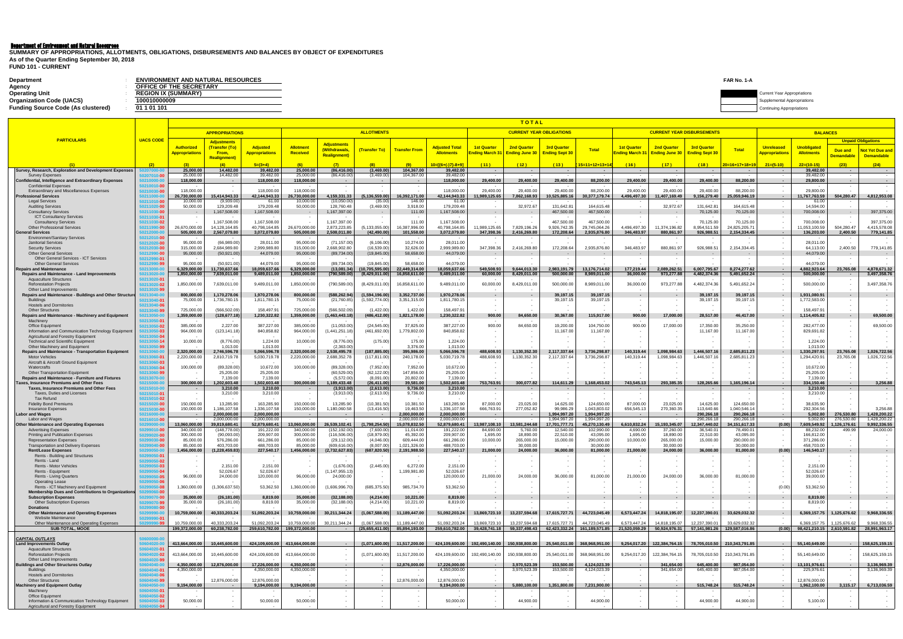# Department of Environment and Natural Resources

**FUND 101 - CURRENT**

| <b>Department</b>                         | <b>ENVIRONMENT AND NATURAL RESOURCES</b> | FAR No. 1-A |                                    |
|-------------------------------------------|------------------------------------------|-------------|------------------------------------|
| Agency                                    | OFFICE OF THE SECRETARY                  |             |                                    |
| <b>Operating Unit</b>                     | <b>REGION IX (SUMMARY)</b>               |             | <b>Current Year Appropriations</b> |
| <b>Organization Code (UACS)</b>           | 100010000009                             |             | Supplemental Appropriations        |
| <b>Funding Source Code (As clustered)</b> | 01 1 01 101                              |             | Continuing Appropriations          |

**SUMMARY OF APPROPRIATIONS, ALLOTMENTS, OBLIGATIONS, DISBURSEMENTS AND BALANCES BY OBJECT OF EXPENDITURES As of the Quarter Ending September 30, 2018**

|                                                                                                    |                                     |                             |                                      |                               |                             |                                      |                              |                                 |                              |                               | <u>TOTAL</u>              |                                 |                                                                                                                                  |                               |                                   |                            |                                       |                                     |                                                   |                                   |                                             |  |  |  |  |  |
|----------------------------------------------------------------------------------------------------|-------------------------------------|-----------------------------|--------------------------------------|-------------------------------|-----------------------------|--------------------------------------|------------------------------|---------------------------------|------------------------------|-------------------------------|---------------------------|---------------------------------|----------------------------------------------------------------------------------------------------------------------------------|-------------------------------|-----------------------------------|----------------------------|---------------------------------------|-------------------------------------|---------------------------------------------------|-----------------------------------|---------------------------------------------|--|--|--|--|--|
|                                                                                                    |                                     |                             | <b>APPROPRIATIONS</b>                |                               |                             |                                      | <b>ALLOTMENTS</b>            |                                 |                              |                               |                           | <b>CURRENT YEAR OBLIGATIONS</b> |                                                                                                                                  |                               | <b>CURRENT YEAR DISBURSEMENTS</b> |                            |                                       |                                     | <b>BALANCES</b>                                   |                                   |                                             |  |  |  |  |  |
| <b>PARTICULARS</b>                                                                                 | <b>UACS CODE</b>                    | Authorized                  | <b>Adjustments</b><br>(Transfer (To) | Adjusted                      | <b>Allotment</b>            | Adjustments                          |                              |                                 | <b>Adjusted Total</b>        | <b>1st Quarter</b>            | <b>2nd Quarter</b>        | <b>3rd Quarter</b>              |                                                                                                                                  | <b>1st Quarter</b>            | <b>2nd Quarter</b>                | <b>3rd Quarter</b>         |                                       | <b>Unreleased</b>                   | <b>Unobligated</b>                                |                                   | <b>Unpaid Obligations</b>                   |  |  |  |  |  |
|                                                                                                    |                                     | <b>Appropriations</b>       | From,                                | <b>Appropriations</b>         | Received                    | (Withdrawals<br><b>Realignment</b> ) | <b>Transfer To)</b>          | <b>Transfer From</b>            | <b>Allotments</b>            | nding March                   | Ending June 30            | <b>Ending Sept 30</b>           | <b>Total</b>                                                                                                                     | Inding March 31               | <b>Ending June 30</b>             | Ending Sept 30             | Total                                 | <b><u><b>Ippropriations</b></u></b> | <b>Allotments</b>                                 | Due and<br><mark>)emandabl</mark> | <b>Not Yet Due and</b><br><b>Demandable</b> |  |  |  |  |  |
|                                                                                                    |                                     |                             | <b>Realignment)</b>                  | $5=(3+4)$                     | (6)                         | (7)                                  |                              |                                 | $10=[(6+(-)7)-8+9]$          | (11)                          | (12)                      | (13)                            | $15=11+12+13+14$                                                                                                                 | (16)                          | (17)                              | (18)                       | 20=16+17+18+19                        | $21=(5-10)$                         | $22=(10-15)$                                      | (23)                              | (24)                                        |  |  |  |  |  |
| Survey, Research, Exploration and Development Expenses                                             |                                     | 25,000.0                    | 14,482.0                             | 39,482.00                     | 25,000.00                   | (86, 416.00)                         | (3,469.00)                   | 104,367.00                      | 39,482.00                    |                               |                           |                                 | $\sim$                                                                                                                           |                               | $\sim$                            | $\sim$                     | $\sim$                                | $\sim$ 100 $\sim$                   | 39,482.00                                         |                                   |                                             |  |  |  |  |  |
| <b>Survey Expenses</b><br><b>Confidential, Intelligence and Extraordinary Expenses</b>             | )10-OC<br>50210000-0                | 25,000.0<br>118,000.00      | 14,482.00<br>$\sim$ 100 $\pm$        | 39,482.00<br>118,000.00       | 25,000.00<br>118,000.00     | (86, 416.00)<br>$\sim$ $-$           | (3,469.00)<br>$\sim$         | 104,367.00<br>$\sim$            | 39,482.00<br>118,000.00      | 29,400.00                     | 29,400.00                 | 29,400.00                       | 88,200.00                                                                                                                        | 29,400.00                     | 29,400.00                         | 29,400.00                  | 88,200.00                             | $\sim$                              | 39.482.00<br>29,800.00                            |                                   | $\sim$                                      |  |  |  |  |  |
| <b>Confidential Expenses</b>                                                                       | 50210010-00                         |                             |                                      |                               |                             | $\sim$                               | $\sim$                       | $\sim$                          |                              |                               |                           |                                 |                                                                                                                                  |                               |                                   |                            |                                       | $\sim$                              |                                                   |                                   |                                             |  |  |  |  |  |
| Extraordinary and Miscellaneous Expenses<br><b>Professional Services</b>                           | 50210030-00<br>50211000-0           | 118,000.00<br>26.730.000.00 | 15.414.943.33                        | 118,000.00<br>42.144.943.33   | 118,000.00<br>26.730.000.00 | 4.159.331.33                         | 136.559.00                   | 16.392.171.00                   | 118,000.00<br>42.144.943.33  | 29,400.00<br>11,989,125.65    | 29,400.00<br>7,862,168.93 | 29,400.00<br>10.525.885.16      | 88,200.00<br>30,377,179.74                                                                                                       | 29,400.00<br>4.496.497.30     | 29,400.00<br>11.407.169.49        | 29,400.00<br>9,156,279.40  | 88,200.00<br>25.059.946.19            | $\sim$<br>$\sim$                    | 29,800.00<br>11.767.763.59                        | 504.280.47                        | 4.812.953.08                                |  |  |  |  |  |
| <b>Legal Services</b><br><b>Auditing Services</b>                                                  | 50211010-00                         | 10,000.0<br>50,000.00       | (9,939.00)<br>129,209.48             | 61.00<br>179,209.48           | 10,000.00<br>50,000.00      | (10,050.00)<br>128.760.48            | (35.00)<br>(3,469.00)        | 146.00<br>3,918.00              | 61.00<br>179,209.48          |                               | 32,972.67                 | 131.642.81                      | 164,615.48                                                                                                                       |                               | 32,972.67                         | 131,642.81                 | 164.615.48                            |                                     | 61.00<br>14,594.00                                |                                   |                                             |  |  |  |  |  |
| <b>Consultancy Services</b>                                                                        | 50211020-00<br>50211030-00          |                             | 1,167,508.00                         | 1,167,508.00                  |                             | 1,167,397.00                         | $\sim$                       | 111.00                          | 1,167,508.00                 | $\sim$                        |                           | 467,500.00                      | 467,500.00                                                                                                                       |                               | $\sim$                            | 70,125.00                  | 70,125.00                             | $\sim$                              | 700,008.00                                        |                                   | 397,375.00                                  |  |  |  |  |  |
| <b>ICT Consultancy Services</b><br><b>Consultancy Services</b>                                     | 50211030-01<br>50211030-02          |                             | 1,167,508.00                         | 1,167,508.00                  |                             | 1,167,397.00                         | $\sim$                       | 111.00                          | 1,167,508.00                 |                               |                           | 467.500.00                      | 467,500.00                                                                                                                       |                               | $\sim$                            | 70,125.00                  | 70,125.00                             | $\sim$                              | 700,008.00                                        |                                   | 397,375.00                                  |  |  |  |  |  |
| <b>Other Professional Services</b>                                                                 | 50211990-00                         | 26,670,000.00               | 14,128,164.85                        | 40,798,164.85                 | 26,670,000.00               | 2,873,223.85                         | (5, 133, 055.00)             | 16,387,996.00                   | 40,798,164.85                | 1,989,125.65                  | 7,829,196.26              | 9,926,742.35                    | 29,745,064.26                                                                                                                    | 4,496,497.30                  | 11,374,196.82                     | 8,954,511.59               | 24,825,205.71                         |                                     | 11,053,100.59                                     | 504,280.47                        | 4,415,578.08                                |  |  |  |  |  |
| <b>General Services</b><br><b>Environmen/Sanitary Services</b>                                     | 50212010-00                         | 505,000.00                  | 2,567,079.80                         | 3,072,079.80                  | 505,000.00                  | 2,508,011.80                         | (42, 490.00)                 | 101,558.00                      | 3,072,079.80                 | 347,398.36                    | 2,416,269.80              | 172,208.64                      | 2,935,876.80                                                                                                                     | 346,483.97                    | 880,861.97                        | 926,988.51                 | 2,154,334.45                          | $\sim$<br>$\sim$                    | 136,203.00                                        | 2,400.50                          | 779,141.85                                  |  |  |  |  |  |
| <b>Janitorial Services</b><br><b>Security Services</b>                                             | 50212020-00<br>50212030- <b>00</b>  | 95,000.00<br>315,000.00     | (66,989.00<br>2,684,989.80           | 28,011.00<br>2,999,989.80     | 95,000.00<br>315,000.00     | (71, 157.00)<br>2,668,902.80         | (6, 106.00)<br>(16,539.00)   | 10,274.00<br>32,626.00          | 28,011.00<br>2,999,989.80    | 347,398.36                    | 2,416,269.80              | 172,208.64                      | 2,935,876.80                                                                                                                     | 346,483.97                    | 880,861.97                        | 926,988.51                 | 2,154,334.45                          | $\sim$                              | 28,011.00<br>64,113.00                            | 2,400.50                          | 779,141.85                                  |  |  |  |  |  |
| <b>Other General Services</b>                                                                      | 50212990-00                         | 95,000.00                   | (50, 921.00)                         | 44,079.00                     | 95,000.00                   | (89, 734.00)                         | (19, 845.00)                 | 58,658.00                       | 44,079.00                    |                               |                           |                                 |                                                                                                                                  |                               |                                   |                            |                                       |                                     | 44,079.00                                         |                                   |                                             |  |  |  |  |  |
| Other General Services - ICT Services<br><b>Other General Services</b>                             | 50212990-01<br>50212990-99          | 95,000.00                   | (50, 921.00                          | 44,079.00                     | 95,000.00                   | (89, 734.00)                         | (19, 845.00)                 | 58,658.00                       | 44,079.00                    |                               |                           |                                 |                                                                                                                                  |                               | $\sim$                            |                            |                                       |                                     | 44,079.00                                         |                                   |                                             |  |  |  |  |  |
| <b>Repairs and Maintenance</b>                                                                     | 50213000-1                          | 6,329,000.00                | 11,730,637.66                        | 8,059,637.66                  | 6,329,000.00                | (13,081.34)                          | 10,705,595.00                | 22,449,314.00                   | 18,059,637.66                | 549,508.93                    | 9,644,013.30              | 2,983,191.79                    | 13,176,714.02                                                                                                                    | 177,219.44                    | 2,089,262.51                      | 6.007.795.67               | 8,274,277.62                          |                                     | 4,882,923.64                                      | 23,765.08                         | 4,878,671.32                                |  |  |  |  |  |
| <b>Repairs and Maintenance - Land Improvements</b><br><b>Aquaculture Structures</b>                | 50213020-0<br>50213020-01           | 1,850,000.00                | 7,639,011.00                         | 9,489,011.00                  | 1,850,000.00                | (790, 589.00)                        | (8,429,011.00)               | 16,858,611.00                   | 9,489,011.00                 | 60,000.00                     | 8,429,011.00              | 500,000.00                      | 8,989,011.00                                                                                                                     | 36,000.00                     | 973,277.88                        | 4,482,374.36               | 5,491,652.24                          | $\sim$                              | 500,000.00                                        |                                   | 3,497,358.76                                |  |  |  |  |  |
| <b>Reforestation Projects</b><br>Other Land Improvements                                           | 50213020-02<br>50213020-99          | 1,850,000.00                | 7,639,011.00                         | 9,489,011.00                  | 1,850,000.00                | (790,589.00                          | (8,429,011.00)               | 16,858,611.00                   | 9,489,011.00                 | 60,000.00                     | 8,429,011.00              | 500,000.00                      | 8,989,011.00                                                                                                                     | 36,000.00                     | 973,277.88                        | 4,482,374.36               | 5,491,652.24                          |                                     | 500,000.00                                        |                                   | 3,497,358.76                                |  |  |  |  |  |
| Repairs and Maintenance - Buildings and Other Structure                                            | 50213040-0                          | 800,000.00                  | 1,170,278.06                         | 1,970,278.06                  | 800,000.00                  | (588, 262.94)                        | (1,594,196.00)               | 3,352,737.00                    | 1,970,278.06                 | $\sim$                        |                           | 39,197.15                       | 39,197.15                                                                                                                        | $\sim$                        | $\sim$                            | 39,197.15                  | 39,197.15                             | $\sim$                              | 1,931,080.91                                      |                                   |                                             |  |  |  |  |  |
| <b>Buildings</b><br><b>Hostels and Dormitories</b>                                                 | 50213040- <b>0</b> 1<br>50213040-06 | 75,000.00                   | 1,736,780.1                          | 1,811,780.15                  | 75,000.00                   | (21,760.85)                          | (1,592,774.00                | 3,351,315.00                    | 1,811,780.15                 | $\sim$                        |                           | 39,197.15                       | 39,197.15                                                                                                                        |                               |                                   | 39,197.15                  | 39,197.15                             |                                     | 1,772,583.00                                      |                                   |                                             |  |  |  |  |  |
| <b>Other Structures</b>                                                                            | 50213040-99                         | 725,000.00                  | (566,502.09                          | 158,497.91                    | 725,000.00                  | (566, 502.09)                        | (1,422.00)                   | 1,422.00                        | 158,497.91                   |                               |                           |                                 |                                                                                                                                  |                               |                                   |                            |                                       |                                     | 158,497.91                                        |                                   |                                             |  |  |  |  |  |
| Repairs and Maintenance - Machinery and Equipment<br>Machinery                                     | 50213050-0<br>50213050-01           | 1,359,000.00                | (128, 677.18)                        | 1,230,322.82                  | 1,359,000.00                | (1,463,443.18)                       | (486, 412.00)                | 1,821,178.00                    | 1,230,322.82                 | 900.00                        | 84,650.00                 | 30,367.00                       | 115,917.00                                                                                                                       | 900.00                        | 17,000.00                         | 28,517.00                  | 46,417.00                             | $\sim$                              | 1,114,405.82                                      |                                   | 69,500.00                                   |  |  |  |  |  |
| <b>Office Equipment</b><br>Information and Communication Technology Equipment                      | 50213050-02<br>50213050-03          | 385,000.00<br>964,000.00    | 2,227.00<br>(123, 141.18)            | 387,227.00<br>840,858.82      | 385,000.00<br>964,000.00    | (11,053.00)<br>(1,441,251.18)        | (24, 545.00)<br>(461,692.00) | 37,825.00<br>1,779,802.00       | 387,227.00<br>840,858.82     | 900.00                        | 84,650.00                 | 19,200.00<br>11,167.00          | 104,750.00<br>11,167.00                                                                                                          | 900.00                        | 17,000.00                         | 17,350.00<br>11,167.00     | 35,250.00<br>11,167.00                | $\sim$                              | 282,477.00<br>829,691.82                          |                                   | 69,500.00                                   |  |  |  |  |  |
| Agricultural and Forestry Equipment                                                                | 50213050-04                         |                             |                                      |                               |                             |                                      |                              |                                 |                              |                               |                           |                                 |                                                                                                                                  |                               |                                   |                            |                                       |                                     |                                                   |                                   |                                             |  |  |  |  |  |
| <b>Technical and Scientific Equipment</b><br>Other Machinery and Equipment                         | 50213050-14<br>50213050-99          | 10,000.00                   | (8,776.00)<br>1,013.00               | 1,224.00<br>1,013.00          | 10,000.00                   | (8,776.00)<br>(2,363.00)             | (175.00                      | 175.00<br>3,376.00              | 1,224.00<br>1,013.00         |                               |                           |                                 |                                                                                                                                  |                               |                                   |                            |                                       |                                     | 1,224.00<br>1,013.00                              |                                   |                                             |  |  |  |  |  |
| Repairs and Maintenance - Transportation Equipment                                                 | 50213060-0                          | 2,320,000.00                | 2,746,596.78                         | 5,066,596.78                  | 2,320,000.00                | 2,538,495.78                         | (187,885.00)                 | 395,986.00                      | 5,066,596.78                 | 488,608.93                    | 1,130,352.30              | 2,117,337.64                    | 3,736,298.87                                                                                                                     | 140,319.44                    | 1,098,984.63                      | 1,446,507.16               | 2,685,811.23                          | $\sim$                              | 1,330,297.91                                      | 23,765.0                          | 1,026,722.56                                |  |  |  |  |  |
| <b>Motor Vehicles</b><br>Aircraft & Aircraft Ground Equipment                                      | 50213060-01<br>50213060-03          | 2,220,000.00                | 2,810,719.78                         | 5,030,719.78                  | 2,220,000.00                | 2,688,352.78                         | (117, 811.00                 | 240,178.00                      | 5,030,719.78                 | 488,608.93                    | 1,130,352.30              | 2,117,337.64                    | 3,736,298.87                                                                                                                     | 140,319.44                    | 1,098,984.63                      | 1,446,507.16               | 2,685,811.23                          |                                     | 1,294,420.91                                      | 23,765.08                         | 1,026,722.56                                |  |  |  |  |  |
| Watercrafts<br>Other Transportation Equipment                                                      | 50213060-04<br>50213060-99          | 100,000.00                  | (89, 328.00)<br>25,205.00            | 10,672.00<br>25,205.00        | 100,000.00                  | (89, 328.00)<br>(60, 529.00)         | (7,952.00)<br>(62, 122.00)   | 7,952.00<br>147,856.00          | 10,672.00<br>25,205.00       |                               |                           |                                 |                                                                                                                                  |                               |                                   |                            |                                       |                                     | 10,672.00<br>25,205.00                            |                                   |                                             |  |  |  |  |  |
| <b>Repairs and Maintenance - Furniture and Fixtures</b>                                            | 50213070-0                          |                             | 7,139.00                             | 7,139.00                      |                             | (5,572.00)                           | (8,091.00                    | 20,802.00                       | 7,139.00                     |                               |                           |                                 |                                                                                                                                  |                               |                                   |                            |                                       |                                     | 7,139.00                                          |                                   |                                             |  |  |  |  |  |
| <b>Taxes, Insurance Premiums and Other Fees</b><br><b>Taxes, Insurance Premiums and Other Fees</b> | 50215000-0<br>50215010-0            | 300,000.00                  | 202,603.48<br>3,210.00               | ,502,603.48<br>3,210.00       | 300,000.00                  | 1,189,433.48<br>(3,913.00)           | 26,411.00<br>(2,613.00)      | 39,581.00<br>9,736.00           | ,502,603.48<br>3,210.00      | 753,763.91                    | 300,077.82                | 114,611.29                      | 1,168,453.02                                                                                                                     | 743,545.13                    | 293,385.35<br>$\sim$              | 128,265.66<br>$\sim$       | 1,165,196.14                          | -9<br>$\sim$                        | 334.150.46<br>3,210.00                            | $\sim$                            | 3,256.88                                    |  |  |  |  |  |
| Taxes, Duties and Licenses                                                                         | 50215010-01                         |                             | 3,210.00                             | 3,210.00                      |                             | (3,913.00)                           | (2,613.00)                   | 9,736.00                        | 3,210.00                     |                               |                           |                                 |                                                                                                                                  |                               |                                   |                            |                                       |                                     | 3,210.00                                          |                                   |                                             |  |  |  |  |  |
| <b>Tax Refund</b><br><b>Fidelity Bond Premiums</b>                                                 | 50215010- <b>02</b><br>50215020-00  | 150,000.00                  | 13,285.90                            | 163,285.90                    | 150,000.00                  | 13,285.90                            | (10, 381.50)                 | 10,381.50                       | 163,285.90                   | 87,000.00                     | 23,025.00                 | 14,625.00                       | 124,650.00                                                                                                                       | 87,000.00                     | 23,025.00                         | 14,625.00                  | 124,650.00                            | $\sim$<br>$\sim$                    | 38,635.90                                         |                                   |                                             |  |  |  |  |  |
| <b>Insurance Expenses</b><br><b>Labor and Wages</b>                                                | 50215030-00                         | 150,000.00                  | 1.186.107.58<br>2,000,000.00         | 1.336.107.58<br>2,000,000.00  | 150,000.00                  | 1,180,060.58<br>$\sim$               | (13,416.50                   | 19.463.50<br>2,000,000.00       | 1.336.107.58<br>2,000,000.00 | 666,763.91                    | 277,052.82                | 99,986.29<br>994,997.20         | 1.043.803.02<br>1,994,997.20                                                                                                     | 656.545.13                    | 270,360.35<br>$\sim$              | 113.640.66<br>290,266.18   | 1.040.546.14<br>290,266.18            | $\sim$ $-$                          | 292.304.56<br>5,002.80                            | 276,530.8                         | 3.256.88<br>1,428,200.22                    |  |  |  |  |  |
| Labor and Wages                                                                                    | 50216010-00                         | $\overline{\phantom{a}}$    | 2,000,000.0                          | 2,000,000.00                  | $\sim$                      | $\sim$ 100 $\pm$                     | $\sim$                       | 2,000,000.00                    | 2,000,000.00                 | $\sim$                        |                           | 1,994,997.20                    | 1,994,997.20                                                                                                                     | $\sim$ 100 $\pm$              | $\sim$                            | 290,266.1                  | 290,266.18                            | $\sim$ $-$                          | 5,002.80                                          | 276,530.80                        | 1,428,200.22                                |  |  |  |  |  |
| <b>Other Maintenance and Operating Expenses</b><br><b>Advertising Expenses</b>                     | 10-00                               | 13,060,000.00<br>340,000.0  | 39,819,680.41<br>(148, 778.00)       | 52,879,680.41<br>191,222.00   | 3,060,000.00<br>340,000.00  | 26,539,102.41<br>(152,192.00         | 1,798,254.50<br>(7,600.00)   | 15,078,832.50<br>11,014.00      | 52,879,680.41<br>191,222.00  | 3,987,108.10<br>84,690.00     | 3,581,244.68<br>5,760.00  | 17,701,777.71<br>12,540.00      | 15,270,130.49<br>102,990.00                                                                                                      | 6,610,832.24<br>4,690.00      | 15,193,345.07<br>37,260.00        | 12,347,440.02<br>36,540.01 | 34,151,617.33<br>78,490.01            | (0.00)                              | 7,609,549.92<br>88,232.00                         | 126,176.61<br>499.99              | 9,992,336.55<br>24,000.00                   |  |  |  |  |  |
| Printing and Publication Expenses                                                                  |                                     | 300,000.00<br>85,000.00     | (90,093.00)<br>576,286.00            | 209,907.00<br>661,286.00      | 300,000.00<br>85,000.00     | (116, 506.00)<br>(29, 112.00)        | (18,979.00<br>(4,046.00)     | 45,392.00<br>609,444.00         | 209,907.00<br>661,286.00     | 1,695.00<br>10,000.00         | 18,890.00<br>265,000.00   | 22,510.00<br>15,000.00          | 43,095.00<br>290,000.00                                                                                                          | 1,695.00<br>10,000.00         | 18,890.00<br>265,000.00           | 22,510.00<br>15,000.00     | 43,095.00<br>290,000.00               | $\sim$<br>$\sim$                    | 166,812.00<br>371,286.00                          |                                   |                                             |  |  |  |  |  |
| <b>Representation Expenses</b><br><b>Transportation and Delivery Expenses</b>                      |                                     | 85.000.00                   | 403.703.00                           | 488.703.00                    | 85.000.00                   | (609.616.00                          | (8.007.00)                   | 1,021,326.00                    | 488.703.00                   |                               | 30,000,00                 |                                 | 30,000,00                                                                                                                        |                               | 30.000.00                         |                            | 30,000,00                             |                                     | 458,703.00                                        |                                   |                                             |  |  |  |  |  |
| <b>Rent/Lease Expenses</b><br>Rents - Building and Structures                                      |                                     | 1,456,000.00                | (1, 228, 459.83)                     | 227,540.17                    | 1,456,000.00                | (2,732,627.83)<br>$\sim$             | (687, 820.50)                | 2,191,988.50<br>$\sim$          | 227,540.17                   | 21,000.00<br>$\sim$           | 24,000.00                 | 36,000.00                       | 81,000.00<br>$\sim$                                                                                                              | 21,000.00<br>$\sim$ 100 $\pm$ | 24,000.00<br>$\sim$               | 36,000.00<br>$\sim$        | 81,000.00<br>$\overline{\phantom{a}}$ | (0.00)<br>$\sim$                    | 146,540.17<br>$\sim$                              |                                   |                                             |  |  |  |  |  |
| Rents - Land                                                                                       |                                     |                             |                                      |                               |                             |                                      |                              |                                 |                              |                               |                           |                                 |                                                                                                                                  |                               |                                   |                            |                                       |                                     |                                                   |                                   |                                             |  |  |  |  |  |
| Rents - Motor Vehicles<br>Rents - Equipment                                                        | $0 - 03$<br>$0 - 0$                 |                             | 2,151.00<br>52,026.67                | 2,151.00<br>52,026.67         |                             | (1,676.00)<br>(1, 147, 955.13)       | (2,445.00)                   | 6,272.00<br>1,199,981.80        | 2,151.00<br>52,026.67        |                               |                           |                                 |                                                                                                                                  |                               |                                   |                            |                                       | $\sim$                              | 2,151.00<br>52,026.67                             |                                   |                                             |  |  |  |  |  |
| Rents - Living Quarters<br><b>Operating Lease</b>                                                  | $0 - 05$                            | 96,000.00                   | 24,000.00                            | 120,000.00                    | 96,000.00                   | 24,000.00                            |                              |                                 | 120,000.00                   | 21,000.00                     | 24,000.00                 | 36,000.00                       | 81,000.00                                                                                                                        | 21,000.00                     | 24,000.00                         | 36,000.00                  | 81,000.00                             |                                     | 39,000.00                                         |                                   |                                             |  |  |  |  |  |
| Rents - ICT Machinery and Equipment                                                                | $0 - 08$                            | 1,360,000.00                | (1,306,637.50)                       | 53,362.50                     | 1,360,000.00                | (1,606,996.70)                       | (685, 375.50)                | 985,734.70                      | 53,362.50                    |                               |                           |                                 |                                                                                                                                  |                               |                                   |                            |                                       | (0.00)                              | 53,362.50                                         |                                   |                                             |  |  |  |  |  |
| <b>Membership Dues and Contributions to Organizations</b><br><b>Subscription Expenses</b>          | $0 - 00$<br>)70-00                  | 35,000.00                   | (26, 181.00)                         | 8,819.00                      | 35,000.00                   | (32, 188.00)                         | (4,214.00)                   | 10,221.00                       | 8,819.00                     |                               |                           |                                 |                                                                                                                                  |                               |                                   |                            |                                       |                                     | 8,819.00                                          |                                   |                                             |  |  |  |  |  |
| <b>Other Subscription Expenses</b>                                                                 | )70-99                              | 35,000.00                   | (26, 181.00)                         | 8,819.00                      | 35,000.00                   | (32, 188.00)                         | (4,214.00)                   | 10,221.00                       | 8,819.00                     |                               |                           |                                 |                                                                                                                                  |                               |                                   |                            |                                       |                                     | 8,819.00                                          |                                   |                                             |  |  |  |  |  |
| Donations<br><b>Other Maintenance and Operating Expenses</b>                                       | $0 - 00$<br>9990-01                 | 10,759,000.00               | 40,333,203.24                        | 51,092,203.24                 | 10,759,000.00               | 30,211,344.24                        | (1,067,588.00)               | 11,189,447.00                   | 51,092,203.24                | 13,869,723.10                 | 13,237,594.68             | 17,615,727.71                   | 44,723,045.49                                                                                                                    | 6,573,447.24                  | 14,818,195.07                     | 12,237,390.01              | 33,629,032.32                         | $\sim$                              | 6,369,157.75                                      | 1,125,676.62                      | 9,968,336.55                                |  |  |  |  |  |
| Website Maintenance<br>Other Maintenance and Operating Expenses                                    | 9990-01                             | 10.759.000.00               | 40.333.203.24                        | 51.092.203.24                 | 10.759.000.00               | 30,211,344.24                        | (1.067.588.00)               | 11.189.447.00                   | 51,092,203.24                | 13.869.723.10                 | 13.237.594.68             | 17.615.727.71                   | 44.723.045.49                                                                                                                    | 6.573.447.24                  | 14.818.195.07                     | 12.237.390.01              | 33.629.032.32                         |                                     | 6.369.157.75                                      | 1.125.676.62                      | 9.968.336.55                                |  |  |  |  |  |
| <b>SUB-TOTAL, MOOE</b>                                                                             |                                     |                             | 199,372,000.00 60,238,782.00         | 259.610.782.00 199.372.000.00 |                             | $\sim 100$                           |                              | $(25,655,411.00)$ 85,894,193.00 |                              |                               |                           |                                 | 259,610,782.00 39,428,741.18 59,337,498.43 62,423,332.24 161,189,571.85 71,520,059.29 50,924,976.31 57,141,981.26 129,587,016.86 |                               |                                   |                            |                                       |                                     | $(0.00)$ 98,421,210.15 2,610,591.82 28,991,963.17 |                                   |                                             |  |  |  |  |  |
| <b>CAPITAL OUTLAYS</b>                                                                             | 0600000-0                           |                             |                                      |                               |                             |                                      |                              |                                 |                              |                               |                           |                                 |                                                                                                                                  |                               |                                   |                            |                                       |                                     |                                                   |                                   |                                             |  |  |  |  |  |
| <b>Land Improvements Outlay</b><br><b>Aquaculture Structures</b>                                   | 0604020-01                          | 413,664,000.00              | 10,445,600.00                        | 424,109,600.00 413,664,000.00 |                             | $\sim 100$<br>$\sim$ 10 $\pm$        | (1,071,600.00)               | 11,517,200.00                   |                              | 424,109,600.00 192,490,140.00 | 150,938,800.00            | 25,540,011.00                   | 368,968,951.00                                                                                                                   |                               | 9,254,017.20 122,384,764.15       | 78,705,010.50              | 210,343,791.85                        | $\sim 100$<br>$\sim$                | 55,140,649.00                                     |                                   | 158,625,159.15                              |  |  |  |  |  |
| <b>Reforestation Projects</b>                                                                      | 0604020-02                          | 413,664,000.00              | 10,445,600.00                        | 424,109,600.00                | 413,664,000.00              |                                      | (1,071,600.00)               | 11,517,200.00                   | 424,109,600.00               | 192,490,140.00                | 150,938,800.00            | 25,540,011.00                   | 368,968,951.00                                                                                                                   | 9,254,017.20                  | 122,384,764.15                    | 78,705,010.50              | 210,343,791.85                        |                                     | 55,140,649.00                                     |                                   | 158,625,159.15                              |  |  |  |  |  |
| Other Land Improvements<br><b>Buildings and Other Structures Outlay</b>                            | 120-9!                              | 4,350,000.00                | 12,876,000.00                        | 17,226,000.00                 | 4,350,000.00                | $\sim$                               |                              | 12,876,000.00                   | 17,226,000.00                |                               | 3,970,523.39              | 153,500.00                      | 4,124,023.39                                                                                                                     |                               | 341,654.00                        | 645,400.00                 | 987,054.00                            |                                     | 13,101,976.61                                     |                                   | 3,136,969.39                                |  |  |  |  |  |
| <b>Buildings</b>                                                                                   | 0604040-01                          | 4,350,000.00                |                                      | 4,350,000.00                  | 4,350,000.00                | $\sim$                               |                              |                                 | 4,350,000.00                 |                               | 3,970,523.39              | 153,500.00                      | 4,124,023.39                                                                                                                     |                               | 341,654.00                        | 645,400.00                 | 987,054.00                            |                                     | 225,976.61                                        |                                   | 3,136,969.39                                |  |  |  |  |  |
| <b>Hostels and Dormitories</b><br><b>Other Structures</b>                                          | 140-06<br>)40-99                    |                             | 12,876,000.00                        | 12,876,000.00                 |                             | $\sim$<br>$\sim$                     |                              | 12,876,000.00                   | 12,876,000.00                |                               |                           |                                 |                                                                                                                                  |                               |                                   |                            |                                       |                                     | 12,876,000.00                                     |                                   |                                             |  |  |  |  |  |
| <b>Machinery and Equipment Outlay</b><br>Machinery                                                 | 50-01                               | 9,194,000.00                | $\sim$                               | 9,194,000.00                  | 9,194,000.00                | $\sim$                               |                              | $\sim$                          | 9,194,000.00                 | $\sim$                        | 5,880,100.00              | 1,351,800.00                    | 7,231,900.00                                                                                                                     |                               | $\sim$                            | 515,748.24                 | 515,748.24                            | $\sim$ $-$                          | 1,962,100.00                                      | 3,115.17                          | 6,713,036.59                                |  |  |  |  |  |
| Office Equipment                                                                                   |                                     |                             |                                      |                               |                             | $\sim$                               | $\sim$                       | $\sim$                          |                              |                               |                           |                                 |                                                                                                                                  |                               |                                   |                            |                                       |                                     |                                                   |                                   |                                             |  |  |  |  |  |
| Information & Communication Technology Equipment<br>Agricultural and Forestry Equipment            | i0-03                               | 50,000.00                   |                                      | 50,000.00                     | 50,000.00                   |                                      |                              |                                 | 50,000.00                    |                               | 44,900.00                 |                                 | 44,900.00                                                                                                                        |                               |                                   | 44,900.00                  | 44,900.00                             |                                     | 5,100.00                                          |                                   |                                             |  |  |  |  |  |